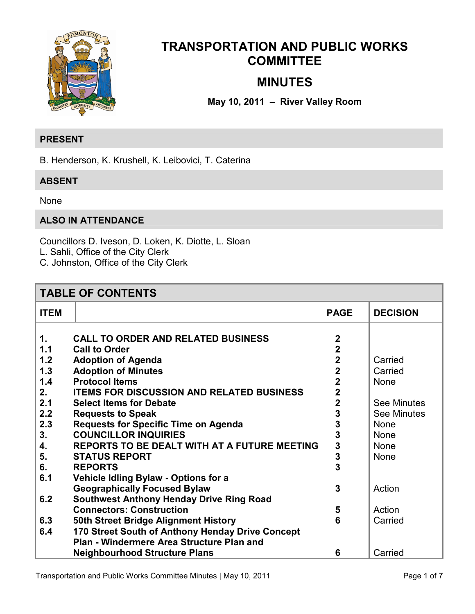

# **TRANSPORTATION AND PUBLIC WORKS COMMITTEE**

# **MINUTES**

# **May 10, 2011 – River Valley Room**

# **PRESENT**

B. Henderson, K. Krushell, K. Leibovici, T. Caterina

# **ABSENT**

None

# **ALSO IN ATTENDANCE**

Councillors D. Iveson, D. Loken, K. Diotte, L. Sloan L. Sahli, Office of the City Clerk C. Johnston, Office of the City Clerk

# **TABLE OF CONTENTS**

| <b>ITEM</b> |                                                  | <b>PAGE</b>    | <b>DECISION</b>    |
|-------------|--------------------------------------------------|----------------|--------------------|
| 1.          | <b>CALL TO ORDER AND RELATED BUSINESS</b>        | $\mathbf 2$    |                    |
| 1.1         | <b>Call to Order</b>                             | $\overline{2}$ |                    |
| 1.2         | <b>Adoption of Agenda</b>                        | $\overline{2}$ | Carried            |
| 1.3         | <b>Adoption of Minutes</b>                       | $\overline{2}$ | Carried            |
| 1.4         | <b>Protocol Items</b>                            | $\overline{2}$ | None               |
| 2.          | <b>ITEMS FOR DISCUSSION AND RELATED BUSINESS</b> | $\overline{2}$ |                    |
| 2.1         | <b>Select Items for Debate</b>                   | $\overline{2}$ | <b>See Minutes</b> |
| 2.2         | <b>Requests to Speak</b>                         | 3              | <b>See Minutes</b> |
| 2.3         | <b>Requests for Specific Time on Agenda</b>      | 3              | <b>None</b>        |
| 3.          | <b>COUNCILLOR INQUIRIES</b>                      | 3              | <b>None</b>        |
| 4.          | REPORTS TO BE DEALT WITH AT A FUTURE MEETING     | 3              | None               |
| 5.          | <b>STATUS REPORT</b>                             | 3              | None               |
| 6.          | <b>REPORTS</b>                                   | 3              |                    |
| 6.1         | <b>Vehicle Idling Bylaw - Options for a</b>      |                |                    |
|             | <b>Geographically Focused Bylaw</b>              | 3              | Action             |
| 6.2         | <b>Southwest Anthony Henday Drive Ring Road</b>  |                |                    |
|             | <b>Connectors: Construction</b>                  | 5              | Action             |
| 6.3         | <b>50th Street Bridge Alignment History</b>      | 6              | Carried            |
| 6.4         | 170 Street South of Anthony Henday Drive Concept |                |                    |
|             | Plan - Windermere Area Structure Plan and        |                |                    |
|             | <b>Neighbourhood Structure Plans</b>             | 6              | Carried            |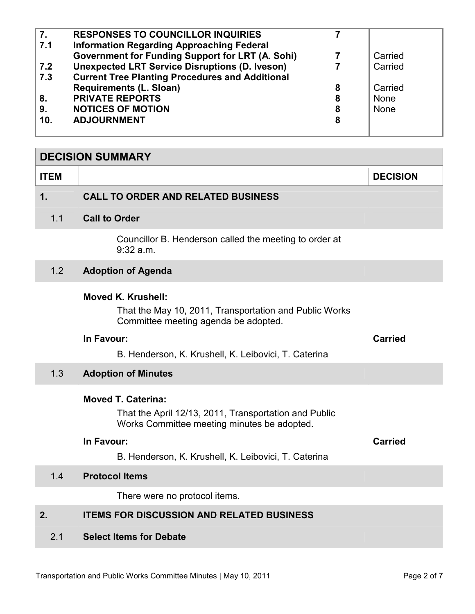<span id="page-1-0"></span>

| $\overline{7}$ . | <b>RESPONSES TO COUNCILLOR INQUIRIES</b>                |   |         |
|------------------|---------------------------------------------------------|---|---------|
| 7.1              | <b>Information Regarding Approaching Federal</b>        |   |         |
|                  | <b>Government for Funding Support for LRT (A. Sohi)</b> |   | Carried |
| 7.2              | <b>Unexpected LRT Service Disruptions (D. Iveson)</b>   |   | Carried |
| 7.3              | <b>Current Tree Planting Procedures and Additional</b>  |   |         |
|                  | <b>Requirements (L. Sloan)</b>                          | 8 | Carried |
| 8.               | <b>PRIVATE REPORTS</b>                                  | 8 | None    |
| 9.               | <b>NOTICES OF MOTION</b>                                | 8 | None    |
| 10.              | <b>ADJOURNMENT</b>                                      | 8 |         |
|                  |                                                         |   |         |

| <b>DECISION SUMMARY</b> |                                                                                                                                                                                                         |                 |  |
|-------------------------|---------------------------------------------------------------------------------------------------------------------------------------------------------------------------------------------------------|-----------------|--|
| <b>ITEM</b>             |                                                                                                                                                                                                         | <b>DECISION</b> |  |
| $\mathbf 1$ .           | <b>CALL TO ORDER AND RELATED BUSINESS</b>                                                                                                                                                               |                 |  |
| 1.1                     | <b>Call to Order</b>                                                                                                                                                                                    |                 |  |
|                         | Councillor B. Henderson called the meeting to order at<br>9:32 a.m.                                                                                                                                     |                 |  |
| 1.2                     | <b>Adoption of Agenda</b>                                                                                                                                                                               |                 |  |
|                         | <b>Moved K. Krushell:</b><br>That the May 10, 2011, Transportation and Public Works<br>Committee meeting agenda be adopted.<br>In Favour:<br>B. Henderson, K. Krushell, K. Leibovici, T. Caterina       | <b>Carried</b>  |  |
| 1.3                     | <b>Adoption of Minutes</b>                                                                                                                                                                              |                 |  |
|                         | <b>Moved T. Caterina:</b><br>That the April 12/13, 2011, Transportation and Public<br>Works Committee meeting minutes be adopted.<br>In Favour:<br>B. Henderson, K. Krushell, K. Leibovici, T. Caterina | <b>Carried</b>  |  |
| 1.4                     | <b>Protocol Items</b>                                                                                                                                                                                   |                 |  |
|                         | There were no protocol items.                                                                                                                                                                           |                 |  |
| 2.                      | <b>ITEMS FOR DISCUSSION AND RELATED BUSINESS</b>                                                                                                                                                        |                 |  |
| 2.1                     | <b>Select Items for Debate</b>                                                                                                                                                                          |                 |  |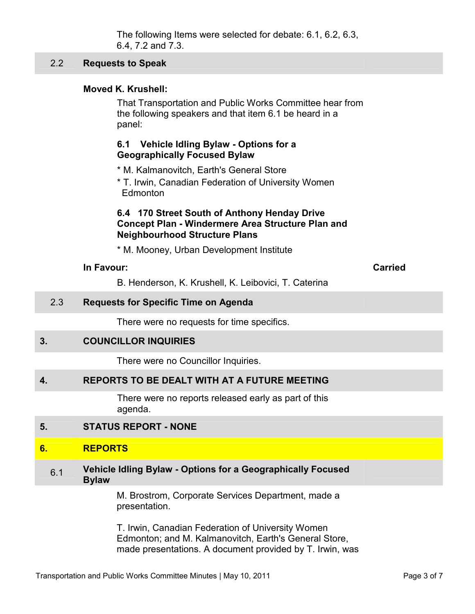The following Items were selected for debate: 6.1, 6.2, 6.3, 6.4, 7.2 and 7.3.

#### <span id="page-2-0"></span>2.2 **Requests to Speak**

#### **Moved K. Krushell:**

That Transportation and Public Works Committee hear from the following speakers and that item 6.1 be heard in a panel:

## **6.1 Vehicle Idling Bylaw - Options for a Geographically Focused Bylaw**

\* M. Kalmanovitch, Earth's General Store

\* T. Irwin, Canadian Federation of University Women Edmonton

#### **6.4 170 Street South of Anthony Henday Drive Concept Plan - Windermere Area Structure Plan and Neighbourhood Structure Plans**

\* M. Mooney, Urban Development Institute

| <b>Carried</b> |
|----------------|
|                |

B. Henderson, K. Krushell, K. Leibovici, T. Caterina

#### 2.3 **Requests for Specific Time on Agenda**

There were no requests for time specifics.

#### **3. COUNCILLOR INQUIRIES**

There were no Councillor Inquiries.

# **4. REPORTS TO BE DEALT WITH AT A FUTURE MEETING**

There were no reports released early as part of this agenda.

# **5. STATUS REPORT - NONE**

#### **6. REPORTS**

#### 6.1 **Vehicle Idling Bylaw - Options for a Geographically Focused Bylaw**

M. Brostrom, Corporate Services Department, made a presentation.

T. Irwin, Canadian Federation of University Women Edmonton; and M. Kalmanovitch, Earth's General Store, made presentations. A document provided by T. Irwin, was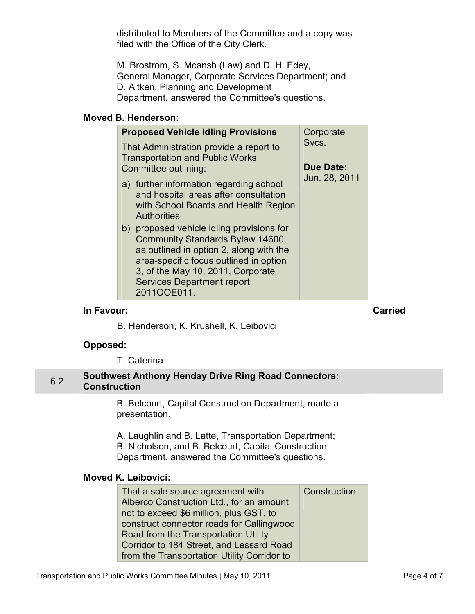<span id="page-3-0"></span>distributed to Members of the Committee and a copy was filed with the Office of the City Clerk.

M. Brostrom, S. Mcansh (Law) and D. H. Edey, General Manager, Corporate Services Department; and D. Aitken, Planning and Development Department, answered the Committee's questions.

# **Moved B. Henderson:**

| <b>Proposed Vehicle Idling Provisions</b>                                                                                                                                                                                                                   | Corporate        |
|-------------------------------------------------------------------------------------------------------------------------------------------------------------------------------------------------------------------------------------------------------------|------------------|
| That Administration provide a report to<br><b>Transportation and Public Works</b>                                                                                                                                                                           | Svcs.            |
| Committee outlining:                                                                                                                                                                                                                                        | <b>Due Date:</b> |
| a) further information regarding school<br>and hospital areas after consultation<br>with School Boards and Health Region<br><b>Authorities</b>                                                                                                              | Jun. 28, 2011    |
| b) proposed vehicle idling provisions for<br>Community Standards Bylaw 14600,<br>as outlined in option 2, along with the<br>area-specific focus outlined in option<br>3, of the May 10, 2011, Corporate<br><b>Services Department report</b><br>2011OOE011. |                  |

# **In Favour: Carried**

B. Henderson, K. Krushell, K. Leibovici

# **Opposed:**

T. Caterina

# 6.2 **Southwest Anthony Henday Drive Ring Road Connectors: Construction**

B. Belcourt, Capital Construction Department, made a presentation.

A. Laughlin and B. Latte, Transportation Department; B. Nicholson, and B. Belcourt, Capital Construction Department, answered the Committee's questions.

#### **Moved K. Leibovici:**

| That a sole source agreement with           | Construction |
|---------------------------------------------|--------------|
| Alberco Construction Ltd., for an amount    |              |
| not to exceed \$6 million, plus GST, to     |              |
| construct connector roads for Callingwood   |              |
| Road from the Transportation Utility        |              |
| Corridor to 184 Street, and Lessard Road    |              |
| from the Transportation Utility Corridor to |              |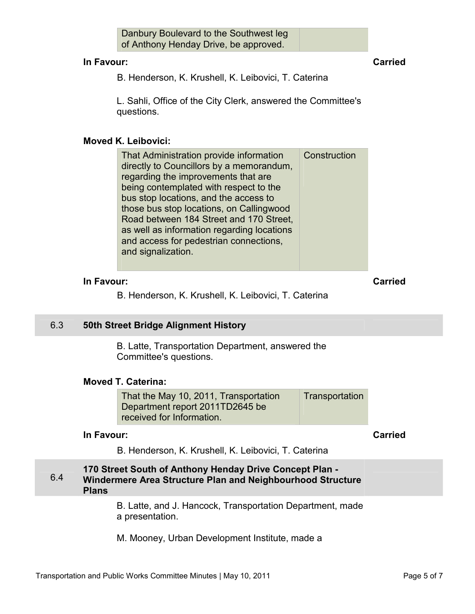| Danbury Boulevard to the Southwest leg |  |
|----------------------------------------|--|
| of Anthony Henday Drive, be approved.  |  |

#### <span id="page-4-0"></span>**In Favour: Carried**

B. Henderson, K. Krushell, K. Leibovici, T. Caterina

L. Sahli, Office of the City Clerk, answered the Committee's questions.

# **Moved K. Leibovici:**

| That Administration provide information<br>directly to Councillors by a memorandum, | Construction |
|-------------------------------------------------------------------------------------|--------------|
| regarding the improvements that are                                                 |              |
| being contemplated with respect to the                                              |              |
| bus stop locations, and the access to                                               |              |
| those bus stop locations, on Callingwood                                            |              |
| Road between 184 Street and 170 Street,                                             |              |
| as well as information regarding locations                                          |              |
| and access for pedestrian connections,                                              |              |
| and signalization.                                                                  |              |

# **In Favour: Carried**

B. Henderson, K. Krushell, K. Leibovici, T. Caterina

# 6.3 **50th Street Bridge Alignment History**

B. Latte, Transportation Department, answered the Committee's questions.

# **Moved T. Caterina:**

That the May 10, 2011, Transportation Department report 2011TD2645 be received for Information. **Transportation** 

# **In Favour: Carried**

B. Henderson, K. Krushell, K. Leibovici, T. Caterina

#### 6.4 **170 Street South of Anthony Henday Drive Concept Plan - Windermere Area Structure Plan and Neighbourhood Structure Plans**

B. Latte, and J. Hancock, Transportation Department, made a presentation.

M. Mooney, Urban Development Institute, made a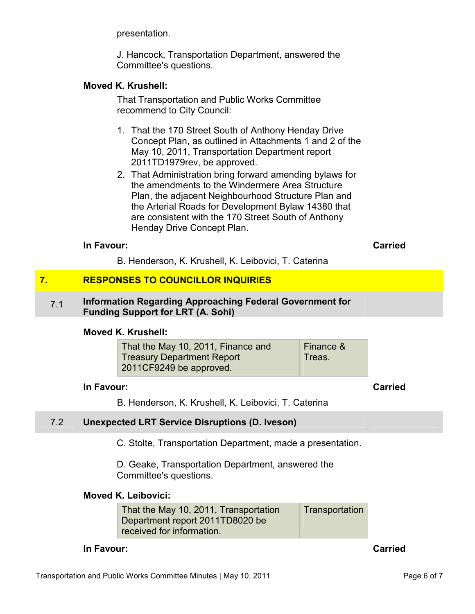presentation.

J. Hancock, Transportation Department, answered the Committee's questions.

## <span id="page-5-0"></span>**Moved K. Krushell:**

That Transportation and Public Works Committee recommend to City Council:

- 1. That the 170 Street South of Anthony Henday Drive Concept Plan, as outlined in Attachments 1 and 2 of the May 10, 2011, Transportation Department report 2011TD1979rev, be approved.
- 2. That Administration bring forward amending bylaws for the amendments to the Windermere Area Structure Plan, the adjacent Neighbourhood Structure Plan and the Arterial Roads for Development Bylaw 14380 that are consistent with the 170 Street South of Anthony Henday Drive Concept Plan.

## **In Favour: Carried**

B. Henderson, K. Krushell, K. Leibovici, T. Caterina

# **7. RESPONSES TO COUNCILLOR INQUIRIES**

#### 7.1 **Information Regarding Approaching Federal Government for Funding Support for LRT (A. Sohi)**

#### **Moved K. Krushell:**

| That the May 10, 2011, Finance and | Finance & |
|------------------------------------|-----------|
| <b>Treasury Department Report</b>  | Treas.    |
| 2011CF9249 be approved.            |           |

# **In Favour: Carried**

B. Henderson, K. Krushell, K. Leibovici, T. Caterina

## 7.2 **Unexpected LRT Service Disruptions (D. Iveson)**

C. Stolte, Transportation Department, made a presentation.

D. Geake, Transportation Department, answered the Committee's questions.

# **Moved K. Leibovici:**

That the May 10, 2011, Transportation Department report 2011TD8020 be received for information. **Transportation** 

#### **In Favour: Carried**